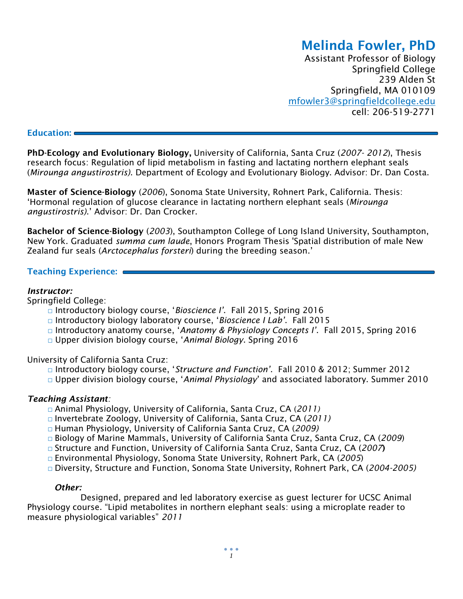# **Melinda Fowler, PhD**

Assistant Professor of Biology Springfield College 239 Alden St Springfield, MA 010109 [mf](mailto:mfowler@.ucsc.edu)owler3@springfieldcollege.edu cell: 206-519-2771

#### **Education:**

**PhD-Ecology and Evolutionary Biology,** University of California, Santa Cruz (*2007- 2012*), Thesis research focus: Regulation of lipid metabolism in fasting and lactating northern elephant seals (*Mirounga angustirostris)*. Department of Ecology and Evolutionary Biology. Advisor: Dr. Dan Costa.

**Master of Science-Biology** (*2006*), Sonoma State University, Rohnert Park, California. Thesis: 'Hormonal regulation of glucose clearance in lactating northern elephant seals (*Mirounga angustirostris)*.' Advisor: Dr. Dan Crocker.

**Bachelor of Science-Biology** (*2003*), Southampton College of Long Island University, Southampton, New York. Graduated *summa cum laude*, Honors Program Thesis 'Spatial distribution of male New Zealand fur seals (*Arctocephalus forsteri*) during the breeding season.'

## **Teaching Experience:**

### *Instructor:*

Springfield College:

- □ Introductory biology course, '*Bioscience I'*. Fall 2015, Spring 2016
- □ Introductory biology laboratory course, '*Bioscience I Lab'*. Fall 2015
- □ Introductory anatomy course, '*Anatomy & Physiology Concepts I'*. Fall 2015, Spring 2016
- □ Upper division biology course, '*Animal Biology*. Spring 2016

University of California Santa Cruz:

- □ Introductory biology course, '*Structure and Function'*. Fall 2010 & 2012; Summer 2012
- □ Upper division biology course, 'Animal Physiology' and associated laboratory. Summer 2010

#### *Teaching Assistant:*

- □ Animal Physiology, University of California, Santa Cruz, CA (*2011)*
- □ Invertebrate Zoology, University of California, Santa Cruz, CA (*2011)*
- □ Human Physiology, University of California Santa Cruz, CA (*2009)*
- □ Biology of Marine Mammals, University of California Santa Cruz, Santa Cruz, CA (*2009*)
- □ Structure and Function, University of California Santa Cruz, Santa Cruz, CA (*2007***)**
- □ Environmental Physiology, Sonoma State University, Rohnert Park, CA (*2005*)
- □ Diversity, Structure and Function, Sonoma State University, Rohnert Park, CA (*2004-2005)*

#### *Other:*

Designed, prepared and led laboratory exercise as guest lecturer for UCSC Animal Physiology course. "Lipid metabolites in northern elephant seals: using a microplate reader to measure physiological variables" *2011*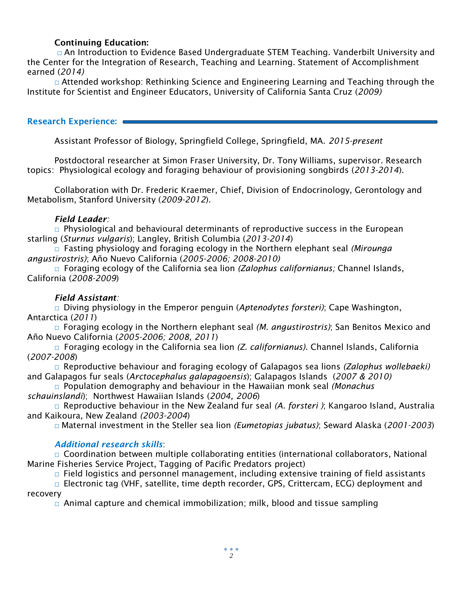## **Continuing Education:**

□ An Introduction to Evidence Based Undergraduate STEM Teaching. Vanderbilt University and the Center for the Integration of Research, Teaching and Learning. Statement of Accomplishment earned (*2014)*

□ Attended workshop: Rethinking Science and Engineering Learning and Teaching through the Institute for Scientist and Engineer Educators, University of California Santa Cruz (*2009)*

## **Research Experience:**

Assistant Professor of Biology, Springfield College, Springfield, MA. *2015-present*

Postdoctoral researcher at Simon Fraser University, Dr. Tony Williams, supervisor. Research topics: Physiological ecology and foraging behaviour of provisioning songbirds (*2013-2014*).

Collaboration with Dr. Frederic Kraemer, Chief, Division of Endocrinology, Gerontology and Metabolism, Stanford University (*2009-2012*).

## *Field Leader:*

 $\Box$  Physiological and behavioural determinants of reproductive success in the European starling (*Sturnus vulgaris*); Langley, British Columbia (*2013-2014*)

□ Fasting physiology and foraging ecology in the Northern elephant seal *(Mirounga angustirostris)*; Año Nuevo California (*2005-2006; 2008-2010)*

□ Foraging ecology of the California sea lion *(Zalophus californianus;* Channel Islands, California (*2008-2009*)

# *Field Assistant:*

□ Diving physiology in the Emperor penguin (*Aptenodytes forsteri)*; Cape Washington, Antarctica (*2011*)

□ Foraging ecology in the Northern elephant seal *(M. angustirostris)*; San Benitos Mexico and Año Nuevo California (*2005-2006; 2008, 2011*)

□ Foraging ecology in the California sea lion *(Z. californianus)*. Channel Islands, California (*2007-2008*)

□ Reproductive behaviour and foraging ecology of Galapagos sea lions *(Zalophus wollebaeki)* and Galapagos fur seals (*Arctocephalus galapagoensis*); Galapagos Islands (*2007 & 2010)*

□ Population demography and behaviour in the Hawaiian monk seal *(Monachus schauinslandi*); Northwest Hawaiian Islands (*2004, 2006*)

□ Reproductive behaviour in the New Zealand fur seal *(A. forsteri )*; Kangaroo Island, Australia and Kaikoura, New Zealand *(2003-2004*)

□ Maternal investment in the Steller sea lion *(Eumetopias jubatus)*; Seward Alaska (*2001-2003*)

# *Additional research skills*:

□ Coordination between multiple collaborating entities (international collaborators, National Marine Fisheries Service Project, Tagging of Pacific Predators project)

 $\Box$  Field logistics and personnel management, including extensive training of field assistants

□ Electronic tag (VHF, satellite, time depth recorder, GPS, Crittercam, ECG) deployment and recovery

 $\Box$  Animal capture and chemical immobilization; milk, blood and tissue sampling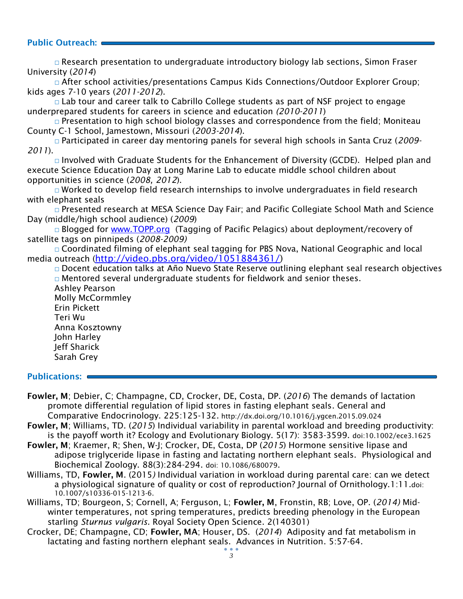## **Public Outreach:**

□ Research presentation to undergraduate introductory biology lab sections, Simon Fraser University (*2014*)

□ After school activities/presentations Campus Kids Connections/Outdoor Explorer Group; kids ages 7-10 years (*2011-2012*).

 $\Box$  Lab tour and career talk to Cabrillo College students as part of NSF project to engage underprepared students for careers in science and education *(2010-2011*)

 $\Box$  Presentation to high school biology classes and correspondence from the field; Moniteau County C-1 School, Jamestown, Missouri (*2003-2014*).

□ Participated in career day mentoring panels for several high schools in Santa Cruz (*2009- 2011*).

 $\Box$  Involved with Graduate Students for the Enhancement of Diversity (GCDE). Helped plan and execute Science Education Day at Long Marine Lab to educate middle school children about opportunities in science (*2008, 2012*).

 $\Box$  Worked to develop field research internships to involve undergraduates in field research with elephant seals

□ Presented research at MESA Science Day Fair; and Pacific Collegiate School Math and Science Day (middle/high school audience) (*2009*)

□ Blogged for [www.TOPP.org](http://www.topp.org/) (Tagging of Pacific Pelagics) about deployment/recovery of satellite tags on pinnipeds (*2008-2009)*

□ Coordinated filming of elephant seal tagging for PBS Nova, National Geographic and local media outreach ([http://video.pbs.org/video/1051884361/\)](http://video.pbs.org/video/1051884361/)

□ Docent education talks at Año Nuevo State Reserve outlining elephant seal research objectives  $\Box$  Mentored several undergraduate students for fieldwork and senior theses. Ashley Pearson Molly McCormmley Erin Pickett

Teri Wu Anna Kosztowny John Harley Jeff Sharick Sarah Grey

## **Publications:**

- **Fowler, M**; Debier, C; Champagne, CD, Crocker, DE, Costa, DP. (*2016*) The demands of lactation promote differential regulation of lipid stores in fasting elephant seals. General and Comparative Endocrinology. 225:125-132. http://dx.doi.org/10.1016/j.ygcen.2015.09.024
- **Fowler, M**; Williams, TD. (*2015*) Individual variability in parental workload and breeding productivity: is the payoff worth it? Ecology and Evolutionary Biology. 5(17): 3583-3599. doi:10.1002/ece3.1625
- **Fowler, M**; Kraemer, R; Shen, W-J; Crocker, DE, Costa, DP (*2015*) Hormone sensitive lipase and adipose triglyceride lipase in fasting and lactating northern elephant seals. Physiological and Biochemical Zoology. 88(3):284-294. doi: 10.1086/680079.
- Williams, TD, **Fowler, M**. (2015*)* Individual variation in workload during parental care: can we detect a physiological signature of quality or cost of reproduction? Journal of Ornithology.1:11.doi: 10.1007/s10336-015-1213-6.
- Williams, TD; Bourgeon, S; Cornell, A; Ferguson, L; **Fowler, M**, Fronstin, RB; Love, OP. (*2014)* Midwinter temperatures, not spring temperatures, predicts breeding phenology in the European starling *Sturnus vulgaris.* Royal Society Open Science. 2(140301)
- Crocker, DE; Champagne, CD; **Fowler, MA**; Houser, DS. (*2014*) Adiposity and fat metabolism in lactating and fasting northern elephant seals. Advances in Nutrition. 5:57-64.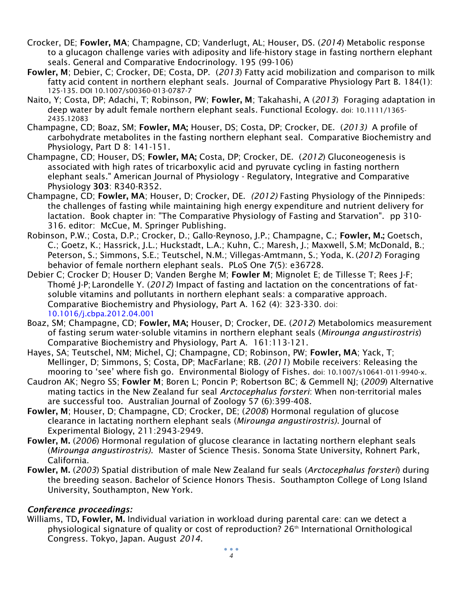- Crocker, DE; **Fowler, MA**; Champagne, CD; Vanderlugt, AL; Houser, DS. (*2014*) Metabolic response to a glucagon challenge varies with adiposity and life-history stage in fasting northern elephant seals. General and Comparative Endocrinology. 195 (99-106)
- **Fowler, M**; Debier, C; Crocker, DE; Costa, DP. (*2013*) Fatty acid mobilization and comparison to milk fatty acid content in northern elephant seals. Journal of Comparative Physiology Part B. 184(1): 125-135. DOI 10.1007/s00360-013-0787-7
- Naito, Y; Costa, DP; Adachi, T; Robinson, PW; **Fowler, M**; Takahashi, A (*2013*) Foraging adaptation in deep water by adult female northern elephant seals. Functional Ecology. doi: 10.1111/1365- 2435.12083
- Champagne, CD; Boaz, SM; **Fowler, MA;** Houser, DS; Costa, DP; Crocker, DE. (*2013)* A profile of carbohydrate metabolites in the fasting northern elephant seal. Comparative Biochemistry and Physiology, Part D 8: 141-151.
- Champagne, CD; Houser, DS; **Fowler, MA;** Costa, DP; Crocker, DE. (*2012*) Gluconeogenesis is associated with high rates of tricarboxylic acid and pyruvate cycling in fasting northern elephant seals." American Journal of Physiology - Regulatory, Integrative and Comparative Physiology **303**: R340-R352.
- Champagne, CD; **Fowler, MA**; Houser, D; Crocker, DE. *(2012)* Fasting Physiology of the Pinnipeds: the challenges of fasting while maintaining high energy expenditure and nutrient delivery for lactation. Book chapter in: "The Comparative Physiology of Fasting and Starvation". pp 310- 316. editor: McCue, M. Springer Publishing.
- Robinson, P.W.; Costa, D.P.; Crocker, D.; Gallo-Reynoso, J.P.; Champagne, C.; **Fowler, M.;** Goetsch, C.; Goetz, K.; Hassrick, J.L.; Huckstadt, L.A.; Kuhn, C.; Maresh, J.; Maxwell, S.M; McDonald, B.; Peterson, S.; Simmons, S.E.; Teutschel, N.M.; Villegas-Amtmann, S.; Yoda, K.(*2012*) Foraging behavior of female northern elephant seals. PLoS One **7**(5): e36728.
- Debier C; Crocker D; Houser D; Vanden Berghe M; **Fowler M**; Mignolet E; de Tillesse T; Rees J-F; Thomé J-P; Larondelle Y. (*2012*) Impact of fasting and lactation on the concentrations of fatsoluble vitamins and pollutants in northern elephant seals: a comparative approach. Comparative Biochemistry and Physiology, Part A. 162 (4): 323-330. doi: 10.1016/j.cbpa.2012.04.001
- Boaz, SM; Champagne, CD; **Fowler, MA;** Houser, D; Crocker, DE. (*2012*) Metabolomics measurement of fasting serum water-soluble vitamins in northern elephant seals (*Mirounga angustirostris*) Comparative Biochemistry and Physiology, Part A. 161:113-121.
- Hayes, SA; Teutschel, NM; Michel, CJ; Champagne, CD; Robinson, PW; **Fowler, MA**; Yack, T; Mellinger, D; Simmons, S; Costa, DP; MacFarlane; RB. (*2011*) Mobile receivers: Releasing the mooring to 'see' where fish go. Environmental Biology of Fishes. doi: 10.1007/s10641-011-9940-x.
- Caudron AK; Negro SS; **Fowler M**; Boren L; Poncin P; Robertson BC; & Gemmell NJ; (*2009*) Alternative mating tactics in the New Zealand fur seal *Arctocephalus forsteri*: When non-territorial males are successful too. Australian Journal of Zoology 57 (6):399-408.
- **Fowler, M**; Houser, D; Champagne, CD; Crocker, DE; (*2008*) Hormonal regulation of glucose clearance in lactating northern elephant seals (*Mirounga angustirostris)*. Journal of Experimental Biology, 211:2943-2949.
- **Fowler, M.** (*2006*) Hormonal regulation of glucose clearance in lactating northern elephant seals (*Mirounga angustirostris)*. Master of Science Thesis. Sonoma State University, Rohnert Park, California.
- **Fowler, M.** (*2003*) Spatial distribution of male New Zealand fur seals (*Arctocephalus forsteri*) during the breeding season. Bachelor of Science Honors Thesis. Southampton College of Long Island University, Southampton, New York.

# *Conference proceedings:*

Williams, TD**, Fowler, M.** Individual variation in workload during parental care: can we detect a physiological signature of quality or cost of reproduction? 26th International Ornithological Congress. Tokyo, Japan. August *2014*.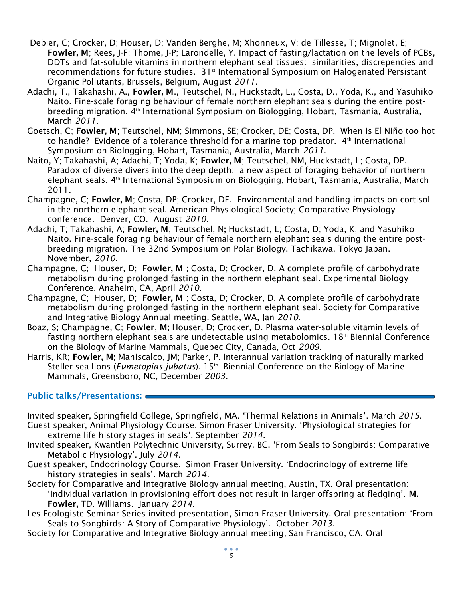- Debier, C; Crocker, D; Houser, D; Vanden Berghe, M; Xhonneux, V; de Tillesse, T; Mignolet, E; **Fowler, M**; Rees, J-F; Thome, J-P; Larondelle, Y. Impact of fasting/lactation on the levels of PCBs, DDTs and fat-soluble vitamins in northern elephant seal tissues: similarities, discrepencies and recommendations for future studies.  $31<sup>st</sup>$  International Symposium on Halogenated Persistant Organic Pollutants, Brussels, Belgium, August *2011*.
- Adachi, T., Takahashi, A., **Fowler, M**., Teutschel, N., Huckstadt, L., Costa, D., Yoda, K., and Yasuhiko Naito. Fine-scale foraging behaviour of female northern elephant seals during the entire postbreeding migration. 4th International Symposium on Biologging, Hobart, Tasmania, Australia, March *2011.*
- Goetsch, C; **Fowler, M**; Teutschel, NM; Simmons, SE; Crocker, DE; Costa, DP. When is El Niño too hot to handle? Evidence of a tolerance threshold for a marine top predator. 4<sup>th</sup> International Symposium on Biologging, Hobart, Tasmania, Australia, March *2011*.
- Naito, Y; Takahashi, A; Adachi, T; Yoda, K; **Fowler, M**; Teutschel, NM, Huckstadt, L; Costa, DP. Paradox of diverse divers into the deep depth: a new aspect of foraging behavior of northern elephant seals. 4th International Symposium on Biologging, Hobart, Tasmania, Australia, March 2011.
- Champagne, C; **Fowler, M**; Costa, DP; Crocker, DE. Environmental and handling impacts on cortisol in the northern elephant seal. American Physiological Society; Comparative Physiology conference. Denver, CO. August *2010*.
- Adachi, T; Takahashi, A; **Fowler, M**; Teutschel, N**;** Huckstadt, L; Costa, D; Yoda, K; and Yasuhiko Naito. Fine-scale foraging behaviour of female northern elephant seals during the entire postbreeding migration. The 32nd Symposium on Polar Biology. Tachikawa, Tokyo Japan. November, *2010*.
- Champagne, C; Houser, D; **Fowler, M** ; Costa, D; Crocker, D. A complete profile of carbohydrate metabolism during prolonged fasting in the northern elephant seal. Experimental Biology Conference, Anaheim, CA, April *2010*.
- Champagne, C; Houser, D; **Fowler, M** ; Costa, D; Crocker, D. A complete profile of carbohydrate metabolism during prolonged fasting in the northern elephant seal. Society for Comparative and Integrative Biology Annual meeting. Seattle, WA, Jan *2010*.
- Boaz, S; Champagne, C; **Fowler**, **M;** Houser, D; Crocker, D. Plasma water-soluble vitamin levels of fasting northern elephant seals are undetectable using metabolomics. 18<sup>th</sup> Biennial Conference on the Biology of Marine Mammals, Quebec City, Canada, Oct *2009*.
- Harris, KR; **Fowler, M;** Maniscalco, JM; Parker, P. Interannual variation tracking of naturally marked Steller sea lions (*Eumetopias jubatus*). 15<sup>th</sup> Biennial Conference on the Biology of Marine Mammals, Greensboro, NC, December *2003.*

# **Public talks/Presentations:**

- Invited speaker, Springfield College, Springfield, MA. 'Thermal Relations in Animals'. March *2015*. Guest speaker, Animal Physiology Course. Simon Fraser University. 'Physiological strategies for
- extreme life history stages in seals'. September *2014*.
- Invited speaker, Kwantlen Polytechnic University, Surrey, BC. 'From Seals to Songbirds: Comparative Metabolic Physiology'. July *2014.*
- Guest speaker, Endocrinology Course. Simon Fraser University. 'Endocrinology of extreme life history strategies in seals'. March *2014*.
- Society for Comparative and Integrative Biology annual meeting, Austin, TX. Oral presentation: 'Individual variation in provisioning effort does not result in larger offspring at fledging'. **M. Fowler,** TD. Williams. January *2014*.
- Les Ecologiste Seminar Series invited presentation, Simon Fraser University. Oral presentation: 'From Seals to Songbirds: A Story of Comparative Physiology'. October *2013*.
- Society for Comparative and Integrative Biology annual meeting, San Francisco, CA. Oral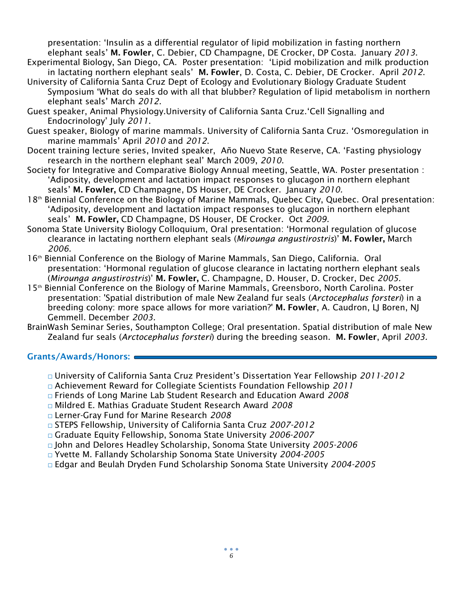presentation: 'Insulin as a differential regulator of lipid mobilization in fasting northern elephant seals' **M. Fowler**, C. Debier, CD Champagne, DE Crocker, DP Costa. January *2013*.

- Experimental Biology, San Diego, CA. Poster presentation: 'Lipid mobilization and milk production in lactating northern elephant seals' **M. Fowler**, D. Costa, C. Debier, DE Crocker. April *2012*.
- University of California Santa Cruz Dept of Ecology and Evolutionary Biology Graduate Student Symposium 'What do seals do with all that blubber? Regulation of lipid metabolism in northern elephant seals' March *2012.*
- Guest speaker, Animal Physiology.University of California Santa Cruz.'Cell Signalling and Endocrinology' July *2011*.
- Guest speaker, Biology of marine mammals. University of California Santa Cruz. 'Osmoregulation in marine mammals' April *2010* and *2012*.
- Docent training lecture series, Invited speaker, Año Nuevo State Reserve, CA. 'Fasting physiology research in the northern elephant seal' March 2009, *2010*.
- Society for Integrative and Comparative Biology Annual meeting, Seattle, WA. Poster presentation : 'Adiposity, development and lactation impact responses to glucagon in northern elephant seals' **M. Fowler,** CD Champagne, DS Houser, DE Crocker. January *2010.*
- 18<sup>th</sup> Biennial Conference on the Biology of Marine Mammals, Quebec City, Quebec. Oral presentation: 'Adiposity, development and lactation impact responses to glucagon in northern elephant seals' **M. Fowler,** CD Champagne, DS Houser, DE Crocker. Oct *2009.*
- Sonoma State University Biology Colloquium, Oral presentation: 'Hormonal regulation of glucose clearance in lactating northern elephant seals (*Mirounga angustirostris*)' **M. Fowler,** March *2006.*
- 16<sup>th</sup> Biennial Conference on the Biology of Marine Mammals, San Diego, California. Oral presentation: 'Hormonal regulation of glucose clearance in lactating northern elephant seals (*Mirounga angustirostris*)' **M. Fowler,** C. Champagne, D. Houser, D. Crocker, Dec *2005.*
- 15th Biennial Conference on the Biology of Marine Mammals, Greensboro, North Carolina. Poster presentation: 'Spatial distribution of male New Zealand fur seals (*Arctocephalus forsteri*) in a breeding colony: more space allows for more variation?' **M. Fowler**, A. Caudron, LJ Boren, NJ Gemmell. December *2003.*
- BrainWash Seminar Series, Southampton College; Oral presentation. Spatial distribution of male New Zealand fur seals (*Arctocephalus forsteri*) during the breeding season. **M. Fowler**, April *2003.*

# **Grants/Awards/Honors:**

- □ University of California Santa Cruz President's Dissertation Year Fellowship *2011-2012*
- □ Achievement Reward for Collegiate Scientists Foundation Fellowship *2011*
- □ Friends of Long Marine Lab Student Research and Education Award *2008*
- □ Mildred E. Mathias Graduate Student Research Award *2008*
- □ Lerner-Gray Fund for Marine Research *2008*
- □ STEPS Fellowship, University of California Santa Cruz *2007-2012*
- □ Graduate Equity Fellowship, Sonoma State University *2006-2007*
- □ John and Delores Headley Scholarship, Sonoma State University *2005-2006*
- □ Yvette M. Fallandy Scholarship Sonoma State University *2004-2005*
- □ Edgar and Beulah Dryden Fund Scholarship Sonoma State University *2004-2005*